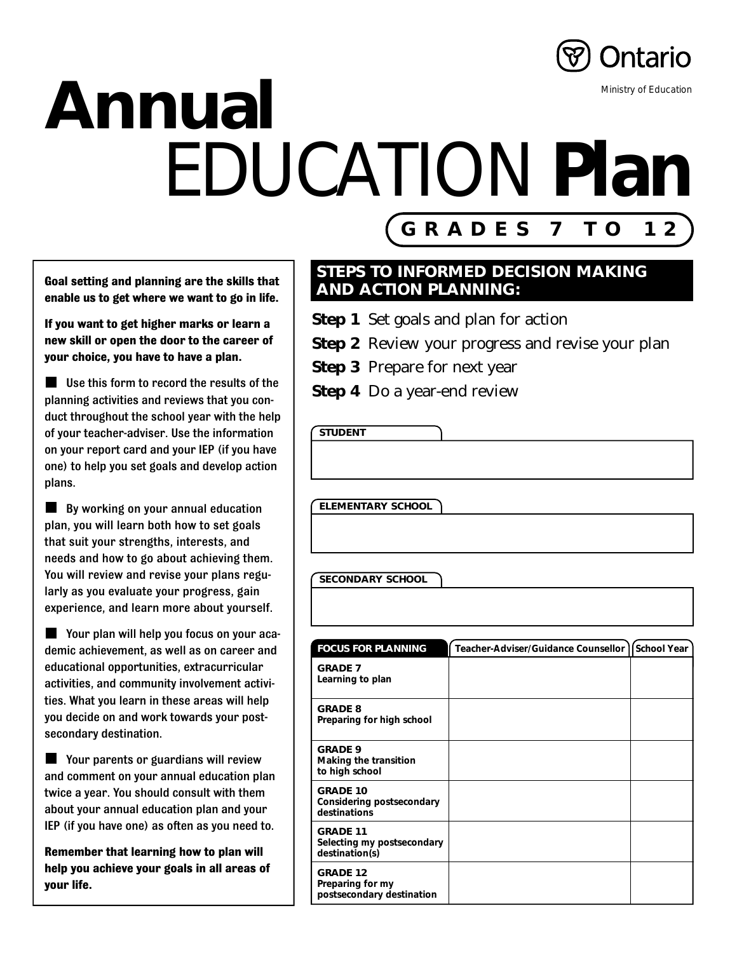

### **Annual** EDUCATION **Plan** Ministry of Education

**Goal setting and planning are the skills that enable us to get where we want to go in life.**

**If you want to get higher marks or learn a new skill or open the door to the career of your choice, you have to have a plan.**

**Use this form to record the results of the** planning activities and reviews that you conduct throughout the school year with the help of your teacher-adviser. Use the information on your report card and your IEP (if you have one) to help you set goals and develop action plans.

**By working on your annual education** plan, you will learn both how to set goals that suit your strengths, interests, and needs and how to go about achieving them. You will review and revise your plans regularly as you evaluate your progress, gain experience, and learn more about yourself.

Your plan will help you focus on your academic achievement, as well as on career and educational opportunities, extracurricular activities, and community involvement activities. What you learn in these areas will help you decide on and work towards your postsecondary destination.

**Nour parents or guardians will review** and comment on your annual education plan twice a year. You should consult with them about your annual education plan and your IEP (if you have one) as often as you need to.

**Remember that learning how to plan will help you achieve your goals in all areas of your life.**

#### **STEPS TO INFORMED DECISION MAKING AND ACTION PLANNING:**

**GRADES 7 TO 12**

- **Step 1**–Set goals and plan for action
- **Step 2** Review your progress and revise your plan
- **Step 3** Prepare for next year
- **Step 4** Do a year-end review

**STUDENT**

**ELEMENTARY SCHOOL**

#### **SECONDARY SCHOOL**

| <b>FOCUS FOR PLANNING</b>                                        | Teacher-Adviser/Guidance Counsellor | School Year |
|------------------------------------------------------------------|-------------------------------------|-------------|
| <b>GRADE 7</b><br>Learning to plan                               |                                     |             |
| <b>GRADE 8</b><br>Preparing for high school                      |                                     |             |
| <b>GRADE 9</b><br>Making the transition<br>to high school        |                                     |             |
| <b>GRADE 10</b><br>Considering postsecondary<br>destinations     |                                     |             |
| <b>GRADE 11</b><br>Selecting my postsecondary<br>destination(s)  |                                     |             |
| <b>GRADE 12</b><br>Preparing for my<br>postsecondary destination |                                     |             |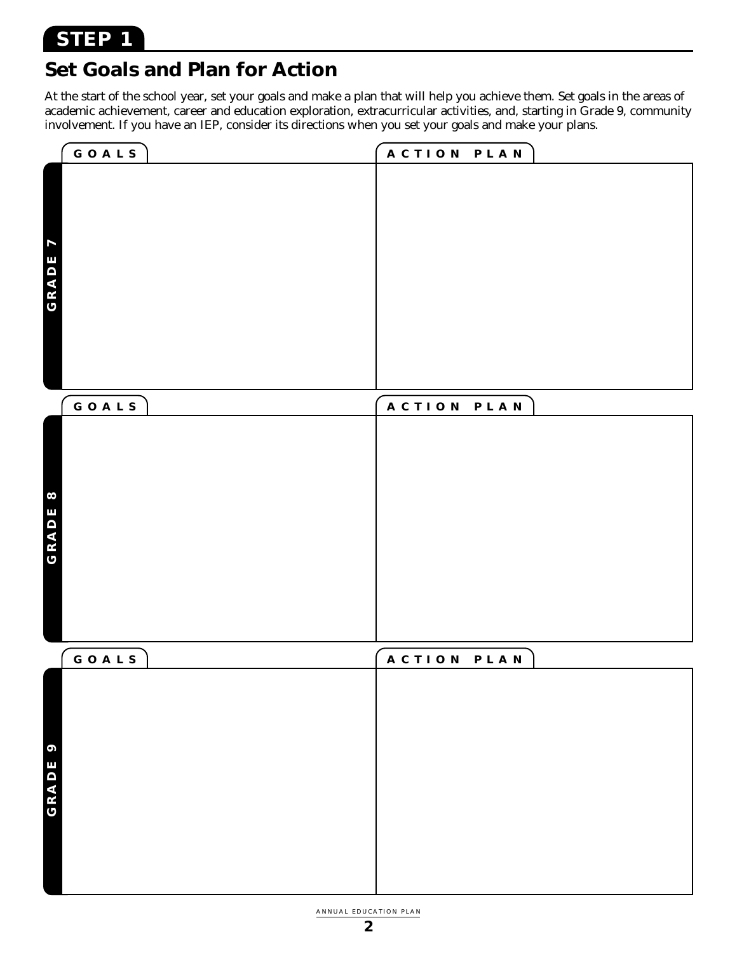#### **Set Goals and Plan for Action**

At the start of the school year, set your goals and make a plan that will help you achieve them. Set goals in the areas of academic achievement, career and education exploration, extracurricular activities, and, starting in Grade 9, community involvement. If you have an IEP, consider its directions when you set your goals and make your plans.

|                                  | GOALS | ACTION PLAN           |  |
|----------------------------------|-------|-----------------------|--|
| $\overline{\mathbf{z}}$<br>GRADE |       |                       |  |
|                                  | GOALS | <b>ACTION</b><br>PLAN |  |
| $\infty$<br>GRADE                |       |                       |  |
|                                  | GOALS | ACTION<br>PLAN        |  |
| $\bullet$<br>GRADE               |       |                       |  |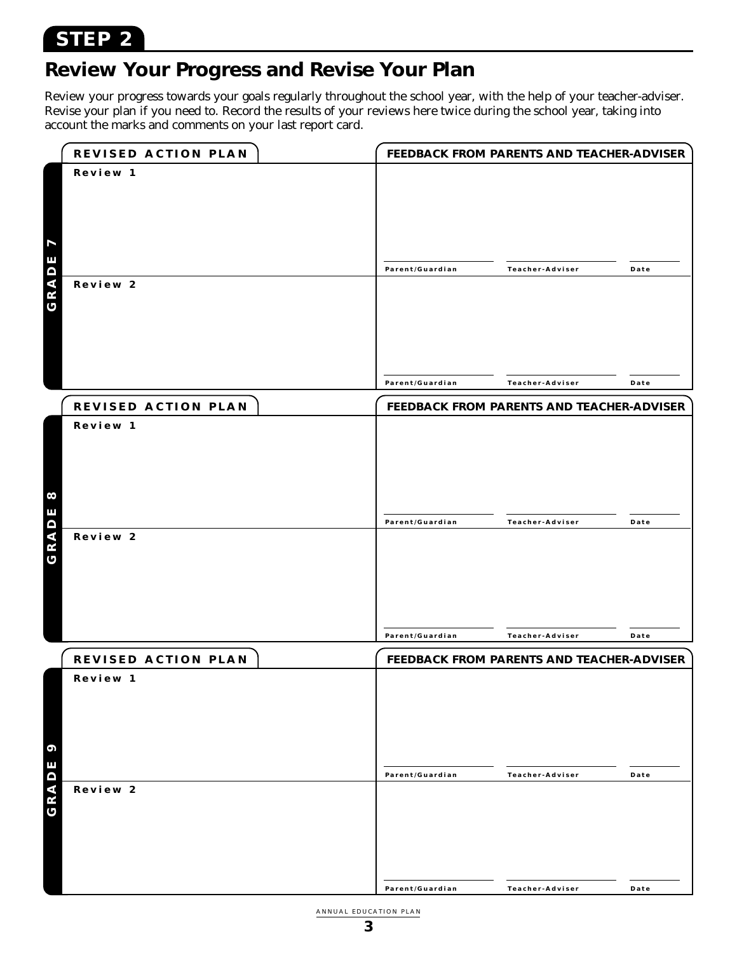#### **STEP 2**

#### **Review Your Progress and Revise Your Plan**

Review your progress towards your goals regularly throughout the school year, with the help of your teacher-adviser. Revise your plan if you need to. Record the results of your reviews here twice during the school year, taking into account the marks and comments on your last report card.

|                         | REVISED ACTION PLAN |                 | FEEDBACK FROM PARENTS AND TEACHER-ADVISER |      |
|-------------------------|---------------------|-----------------|-------------------------------------------|------|
|                         | Review 1            |                 |                                           |      |
|                         |                     |                 |                                           |      |
|                         |                     |                 |                                           |      |
|                         |                     |                 |                                           |      |
| $\overline{\mathbf{I}}$ |                     |                 |                                           |      |
|                         |                     |                 |                                           |      |
| GRADE                   |                     | Parent/Guardian | Teacher-Adviser                           | Date |
|                         | Review 2            |                 |                                           |      |
|                         |                     |                 |                                           |      |
|                         |                     |                 |                                           |      |
|                         |                     |                 |                                           |      |
|                         |                     |                 |                                           |      |
|                         |                     |                 |                                           |      |
|                         |                     | Parent/Guardian | Teacher-Adviser                           | Date |
|                         | REVISED ACTION PLAN |                 | FEEDBACK FROM PARENTS AND TEACHER-ADVISER |      |
|                         | Review 1            |                 |                                           |      |
|                         |                     |                 |                                           |      |
|                         |                     |                 |                                           |      |
|                         |                     |                 |                                           |      |
| $\infty$                |                     |                 |                                           |      |
|                         |                     |                 |                                           |      |
| GRADE                   |                     | Parent/Guardian | Teacher-Adviser                           | Date |
|                         | Review 2            |                 |                                           |      |
|                         |                     |                 |                                           |      |
|                         |                     |                 |                                           |      |
|                         |                     |                 |                                           |      |
|                         |                     |                 |                                           |      |
|                         |                     | Parent/Guardian | Teacher-Adviser                           | Date |
|                         |                     |                 |                                           |      |
|                         | REVISED ACTION PLAN |                 | FEEDBACK FROM PARENTS AND TEACHER-ADVISER |      |
|                         | Review 1            |                 |                                           |      |
|                         |                     |                 |                                           |      |
|                         |                     |                 |                                           |      |
|                         |                     |                 |                                           |      |
| 9                       |                     |                 |                                           |      |
|                         |                     | Parent/Guardian | Teacher-Adviser                           | Date |
| GRADE                   | Review 2            |                 |                                           |      |
|                         |                     |                 |                                           |      |
|                         |                     |                 |                                           |      |
|                         |                     |                 |                                           |      |
|                         |                     |                 |                                           |      |
|                         |                     |                 |                                           |      |
|                         |                     | Parent/Guardian | Teacher-Adviser                           | Date |

ANNUAL EDUCATION PLAN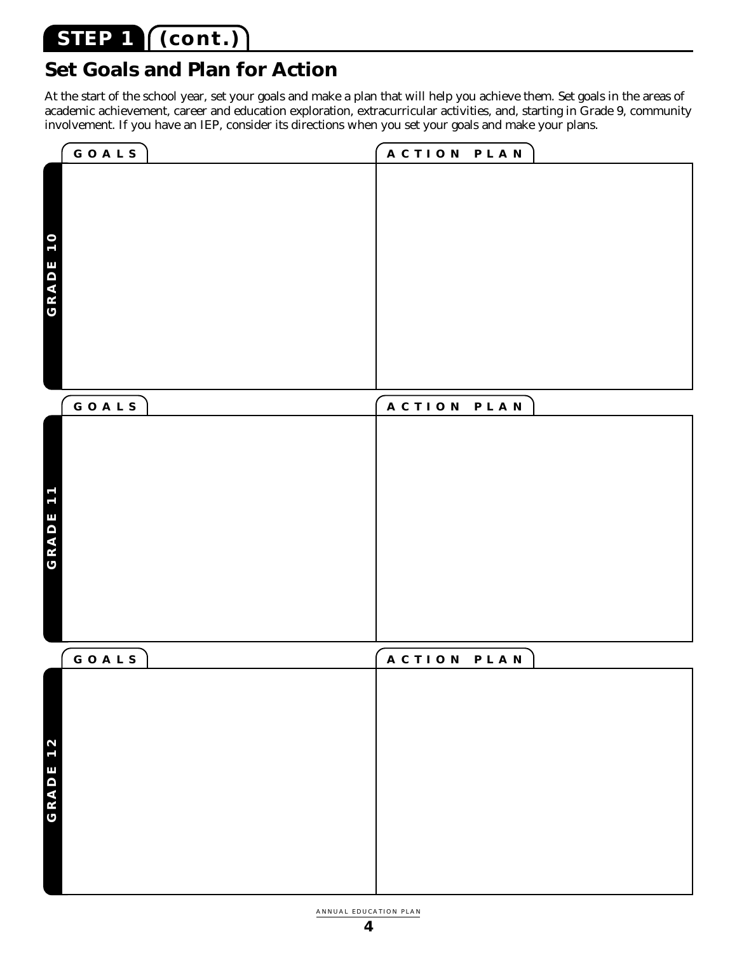#### **STEP 1 (cont.)**

#### **Set Goals and Plan for Action**

At the start of the school year, set your goals and make a plan that will help you achieve them. Set goals in the areas of academic achievement, career and education exploration, extracurricular activities, and, starting in Grade 9, community involvement. If you have an IEP, consider its directions when you set your goals and make your plans.

|          | GOALS | ACTION PLAN              |  |
|----------|-------|--------------------------|--|
|          |       |                          |  |
|          |       |                          |  |
|          |       |                          |  |
|          |       |                          |  |
|          |       |                          |  |
|          |       |                          |  |
| GRADE 10 |       |                          |  |
|          |       |                          |  |
|          |       |                          |  |
|          |       |                          |  |
|          |       |                          |  |
|          |       |                          |  |
|          |       |                          |  |
|          |       |                          |  |
|          |       |                          |  |
|          | GOALS | <b>ACTION</b><br>P L A N |  |
|          |       |                          |  |
|          |       |                          |  |
|          |       |                          |  |
|          |       |                          |  |
|          |       |                          |  |
| GRADE 11 |       |                          |  |
|          |       |                          |  |
|          |       |                          |  |
|          |       |                          |  |
|          |       |                          |  |
|          |       |                          |  |
|          |       |                          |  |
|          |       |                          |  |
|          |       |                          |  |
|          | GOALS | ACTION<br>PLAN           |  |
|          |       |                          |  |
|          |       |                          |  |
|          |       |                          |  |
|          |       |                          |  |
| 12       |       |                          |  |
|          |       |                          |  |
|          |       |                          |  |
| GRADE    |       |                          |  |
|          |       |                          |  |
|          |       |                          |  |
|          |       |                          |  |
|          |       |                          |  |
|          |       |                          |  |
|          |       |                          |  |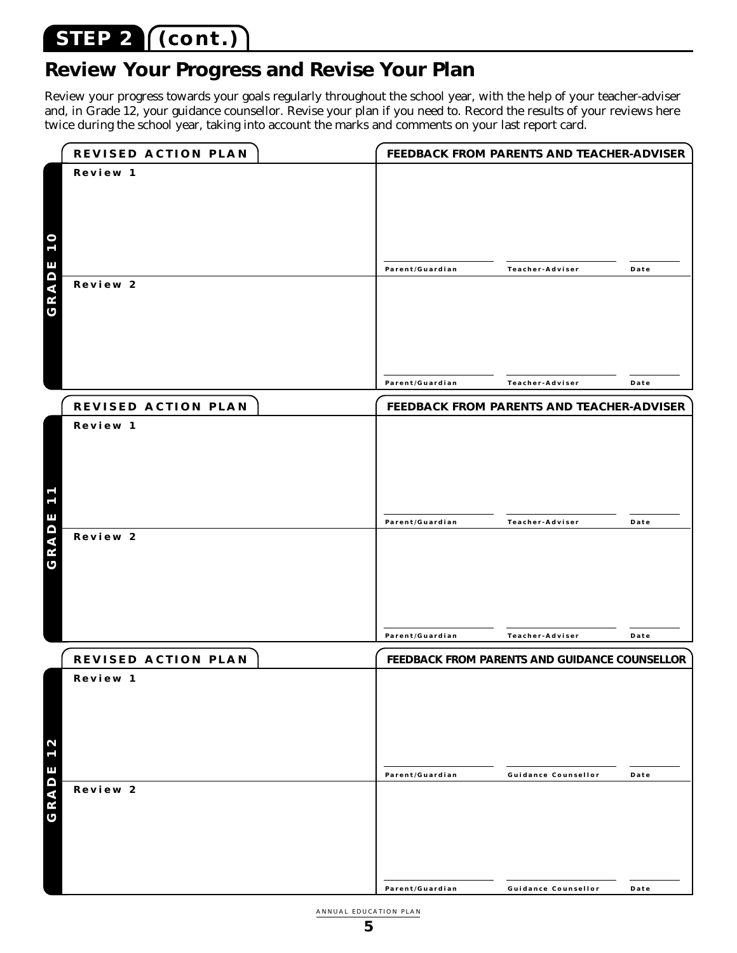#### **STEP 2 (cont.)**

#### **Review Your Progress and Revise Your Plan**

Review your progress towards your goals regularly throughout the school year, with the help of your teacher-adviser and, in Grade 12, your guidance counsellor. Revise your plan if you need to. Record the results of your reviews here twice during the school year, taking into account the marks and comments on your last report card.

|                               | REVISED ACTION PLAN |                 | FEEDBACK FROM PARENTS AND TEACHER-ADVISER     |      |
|-------------------------------|---------------------|-----------------|-----------------------------------------------|------|
|                               | Review 1            |                 |                                               |      |
|                               |                     |                 |                                               |      |
|                               |                     |                 |                                               |      |
|                               |                     |                 |                                               |      |
| <b>10</b>                     |                     |                 |                                               |      |
|                               |                     |                 |                                               |      |
| GRADE                         | Review 2            | Parent/Guardian | Teacher-Adviser                               | Date |
|                               |                     |                 |                                               |      |
|                               |                     |                 |                                               |      |
|                               |                     |                 |                                               |      |
|                               |                     |                 |                                               |      |
|                               |                     |                 |                                               |      |
|                               |                     | Parent/Guardian | Teacher-Adviser                               | Date |
|                               | REVISED ACTION PLAN |                 | FEEDBACK FROM PARENTS AND TEACHER-ADVISER     |      |
|                               | Review 1            |                 |                                               |      |
|                               |                     |                 |                                               |      |
|                               |                     |                 |                                               |      |
|                               |                     |                 |                                               |      |
| $\overline{\phantom{0}}$<br>L |                     |                 |                                               |      |
|                               |                     |                 |                                               |      |
| GRADE                         | Review 2            | Parent/Guardian | Teacher-Adviser                               | Date |
|                               |                     |                 |                                               |      |
|                               |                     |                 |                                               |      |
|                               |                     |                 |                                               |      |
|                               |                     |                 |                                               |      |
|                               |                     |                 |                                               |      |
|                               |                     | Parent/Guardian | Teacher-Adviser                               | Date |
|                               | REVISED ACTION PLAN |                 | FEEDBACK FROM PARENTS AND GUIDANCE COUNSELLOR |      |
|                               | Review 1            |                 |                                               |      |
|                               |                     |                 |                                               |      |
|                               |                     |                 |                                               |      |
|                               |                     |                 |                                               |      |
| 2<br>L                        |                     |                 |                                               |      |
|                               |                     |                 |                                               |      |
| GRADE                         | Review 2            | Parent/Guardian | Guidance Counsellor                           | Date |
|                               |                     |                 |                                               |      |
|                               |                     |                 |                                               |      |
|                               |                     |                 |                                               |      |
|                               |                     |                 |                                               |      |
|                               |                     |                 |                                               |      |
|                               |                     | Parent/Guardian | Guidance Counsellor                           | Date |

ANNUAL EDUCATION PLAN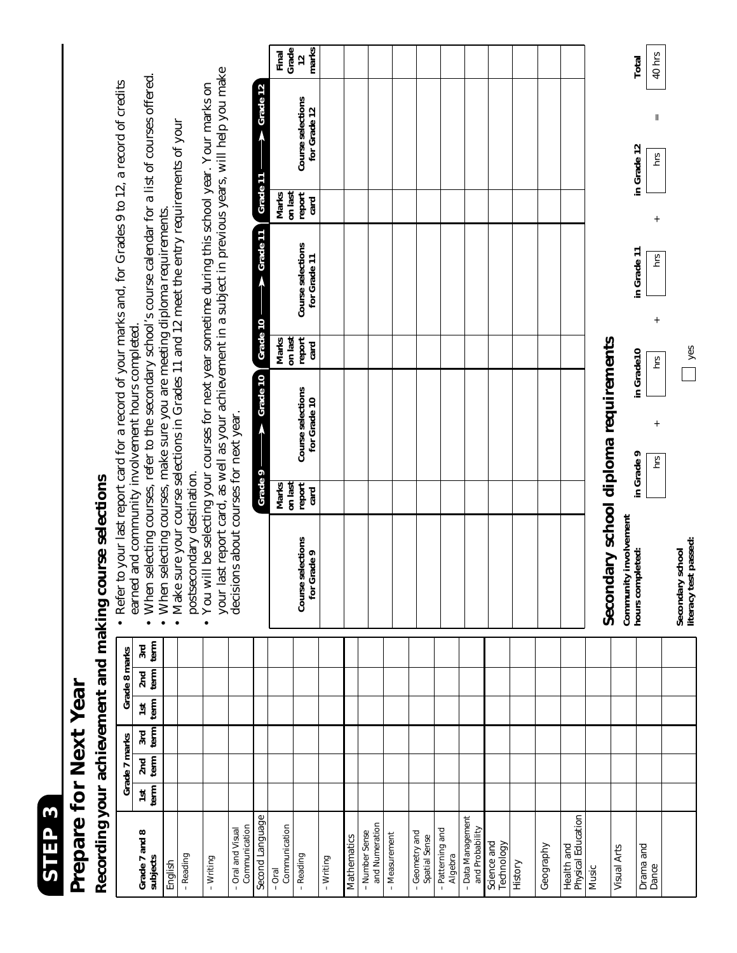

## Prepare for Next Year **Prepare for Next Year**

# Recording your achievement and making course selections **Recording your achievement and making course selections**

**for Grade 9 card for Grade 10 card for Grade 11 card for Grade 12 marks on last**<br> **on last**<br> **on last**<br> **on last**<br> **on last**<br> **on last Marks Marks Marks Final** hrs + hrs + hrs + hrs = 40 hrs **Course Course Selections**<br> **Course Selections**<br> **Course Selections**<br> **Course Selections**<br> **Course Selections**<br> **Course Selections hours completed: in Grade 9 in Grade10 in Grade 11 in Grade 12 Total** your last report card, as well as your achievement in a subject in previous years, will help you make your last report card, as well as your achievement in a subject in previous years, will help you make • When selecting courses, refer to the secondary school's course calendar for a list of courses offered. • When selecting courses, refer to the secondary school's course calendar for a list of courses offered. • You will be selecting your courses for next year sometime during this school year. Your marks on • Refer to your last report card for a record of your marks and, for Grades 9 to 12, a record of credits • You will be selecting your courses for next year sometime during this school year. Your marks on • Refer to your last report card for a record of your marks and, for Grades 9 to 12, a record of credits **Grade 9 Grade 10 Grade 10 Grade 11 Grade 11 Grade 12** • Make sure your course selections in Grades 11 and 12 meet the entry requirements of your • Make sure your course selections in Grades 11 and 12 meet the entry requirements of your Grade 11 report<br>card Marks on last • When selecting courses, make sure you are meeting diploma requirements. • When selecting courses, make sure you are meeting diploma requirements.  $\rightarrow$  Grade 11 Course selections in Grade 11  $rac{1}{\pi}$ for Grade 11 Grade  $10$ earned and community involvement hours completed. earned and community involvement hours completed. report Marks<br>on last Secondary school diploma requirements **Secondary school diploma requirements**  $\Box$  yes **literacy test passed:** yes in Grade10 **CJN**  $\rightarrow$  Grade 10 Course selections for Grade 10 decisions about courses for next year. decisions about courses for next year.in Grade 9  $hrS$ postsecondary destination. Grade 9 postsecondary destination. Marks<br>on last report Community involvement<br>hours completed: **Community involvement**  Course selections<br>for Grade 9 Secondary school<br>literacy test passed: **Secondary school**   $\begin{array}{|c|c|}\n\hline\n2nd & 3rd \\
\hline\n\end{array}$ **subjects term term term term term term** Grade 8 marks **Grade 7 and 8 1st 2nd 3rd 1st 2nd 3rd Grade 7 marks Grade 8 marks**  $\begin{array}{c|c}\n\hline\n\text{1st} & \text{for} \\
\text{term} & \text{if} \\
\hline\n\end{array}$ 2nd 3rd<br>term term Grade 7 marks  $\begin{array}{c|c}\n\hline\n\text{1st} & \text{if } \\
\hline\n\text{1e} & \text{if } \\
\hline\n\end{array}$ Second Language Health and<br>Physical Education *Second Language* - Data Management Physical Education – Data Management and Numeration Communication - Oral and Visual Communication and Numeration Communication Communication – Patterning and and Probability Grade 7 and 8 – Oral and Visual - Number Sense - Geometry and - Patterning and and Probability Number Sense - Measurement – Geometry and Mathematics – Measurement Spatial Sense *Mathematics* Spatial Sense Science and Science and Technology Drama and<br>Dance Technology Geography Health and **Visual Arts** Visual Arts Geography Drama and – Reading – Reading Algebra subjects – Writing – Writing History *English* Music – Oral

 $\frac{12}{\text{marks}}$ Final<br>Grade

Course selections<br>for Grade 12

 $\rightarrow$  Grade 12

40 hrs Total

in Grade 12  $rac{1}{2}$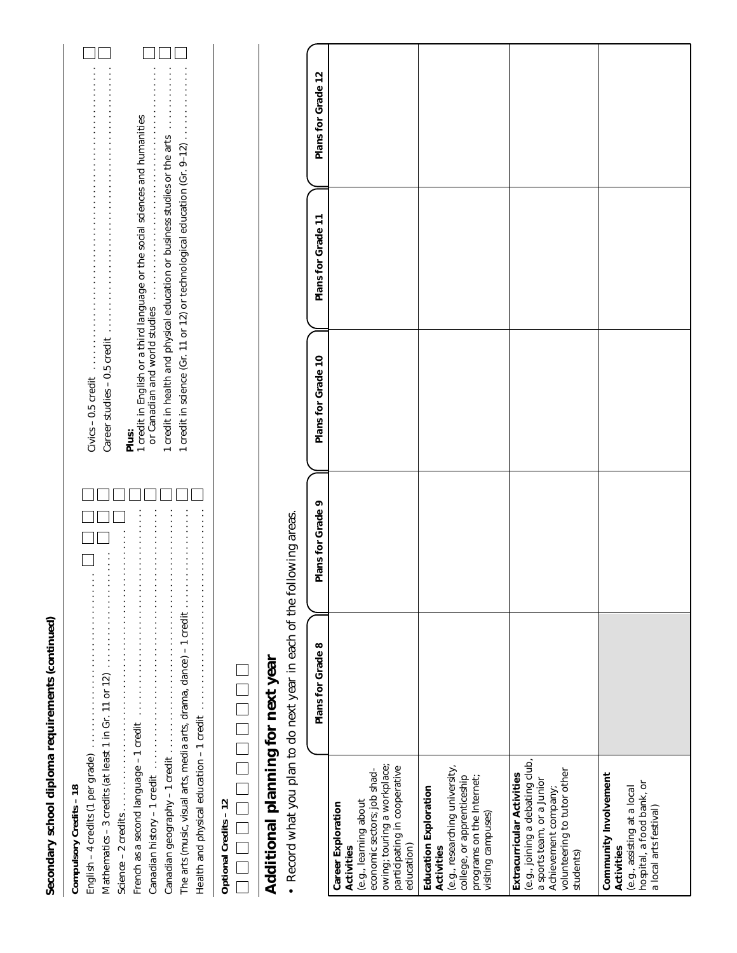| ֠<br>Į<br>and the state of the state of the state of the state of the state of the state of the state of the state of th<br>ì<br>į<br>Ì | $\frac{\alpha}{1}$<br>Community |
|-----------------------------------------------------------------------------------------------------------------------------------------|---------------------------------|

Civics – 0.5 credit . . . . . . . . . . . . . . . . . . . . . . . . . . . . . . . . . . . . . . . . . . . . . . . . . . . . . . . . . Career studies – 0.5 credit . . . . . . . . . . . . . . . . . . . . . . . . . . . . . . . . . . . . . . . . . . . . . . . . . . Career studies – 0.5 credit<br>
Plus:<br>
Plus:<br>
Predit in English or a third language or the social sciences and humanities<br>
or Canadian and world studies<br>
Constant of Canadian and world studies

1 credit in English *or* a third language *or* the social sciences and humanities

*or* Canadian and world studies . . . . . . . . . . . . . . . . . . . . . . . . . . . . . . . . . . . . . . . . . . . . 1 credit in health and physical education *or* business studies *or* the arts . . . . . . . . . . . . 1 credit in science (Gr. 11 or 12) *or* technological education (Gr. 9–12) . . . . . . . . . . . . . .

1 credit in science (Gr. 11 or 12) or technological education (Gr. 9-12) .............. 1 credit in health and physical education or business studies or the arts ...........

 $\Box$ 

 $\sqcup$ 

| Compulsory Credits - 18                                                                                                                                                                                                                                                                                                                      |  |
|----------------------------------------------------------------------------------------------------------------------------------------------------------------------------------------------------------------------------------------------------------------------------------------------------------------------------------------------|--|
|                                                                                                                                                                                                                                                                                                                                              |  |
| Mathematics - 3 credits (at least 1 in Gr. 11 or 12)                                                                                                                                                                                                                                                                                         |  |
|                                                                                                                                                                                                                                                                                                                                              |  |
|                                                                                                                                                                                                                                                                                                                                              |  |
| Canadian history – 1 credit Allian Allian Allian Allian Allian Allian Allian Allian Allian Allian Allian Allian                                                                                                                                                                                                                              |  |
|                                                                                                                                                                                                                                                                                                                                              |  |
|                                                                                                                                                                                                                                                                                                                                              |  |
| $\cdots$ $\cdots$ $\cdots$ $\cdots$ $\cdots$ $\cdots$ $\cdots$ $\cdots$ $\cdots$ $\cdots$ $\cdots$ $\cdots$ $\cdots$ $\cdots$ $\cdots$ $\cdots$ $\cdots$ $\cdots$ $\cdots$ $\cdots$ $\cdots$ $\cdots$ $\cdots$ $\cdots$ $\cdots$ $\cdots$ $\cdots$ $\cdots$ $\cdots$ $\cdots$ $\cdots$ $\cdots$ $\cdots$ $\cdots$ $\cdots$ $\cdots$ $\cdots$ |  |
|                                                                                                                                                                                                                                                                                                                                              |  |

| í |
|---|
| ı |
|   |
| ٦ |

| l<br>$\overline{\phantom{a}}$ |
|-------------------------------|
|                               |
| 1                             |
| $\Box$                        |
|                               |
|                               |
| $\overline{\phantom{a}}$      |
|                               |
|                               |
|                               |
|                               |

## Additional planning for next year **Additional planning for next year**

• Record what you plan to do next year in each of the following areas. • Record what you plan to do next year in each of the following areas.

|                                                                                                                                                                       | Plans for Grade 8 | Plans for Grade 9 | Plans for Grade 10 | Plans for Grade 11 | Plans for Grade 12 |
|-----------------------------------------------------------------------------------------------------------------------------------------------------------------------|-------------------|-------------------|--------------------|--------------------|--------------------|
| owing; touring a workplace;<br>participating in cooperative<br>economic sectors; job shad-<br>(e.g., learning about<br>Career Exploration<br>education)<br>Activities |                   |                   |                    |                    |                    |
| (e.g., researching university,<br>college, or apprenticeship<br>programs on the Internet;<br>Education Exploration<br>visiting campuses)<br>Activities                |                   |                   |                    |                    |                    |
| (e.g., joining a debating club,<br>a sports team, or a Junior<br>volunteering to tutor other<br>Extracurricular Activities<br>Achievement company;<br>students)       |                   |                   |                    |                    |                    |
| Community Involvement<br>(e.g., assisting at a local<br>hospital, a food bank, or<br>a local arts festival)<br>Activities                                             |                   |                   |                    |                    |                    |